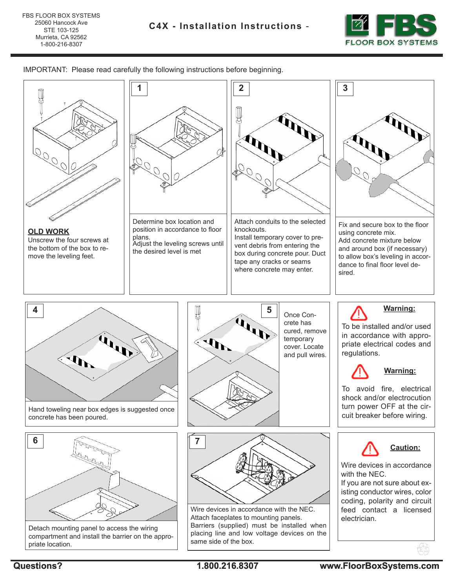

IMPORTANT: Please read carefully the following instructions before beginning.